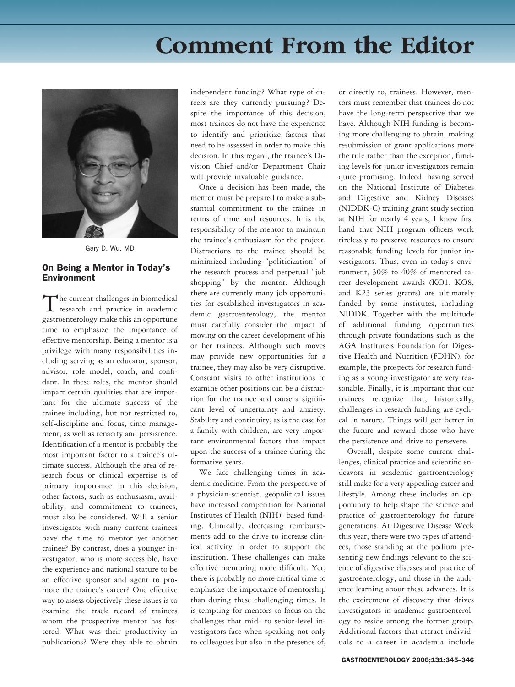## **Comment From the Editor**



Gary D. Wu, MD

## On Being a Mentor in Today's Environment

The current challenges in biomedical research and practice in academic gastroenterology make this an opportune time to emphasize the importance of effective mentorship. Being a mentor is a privilege with many responsibilities including serving as an educator, sponsor, advisor, role model, coach, and confidant. In these roles, the mentor should impart certain qualities that are important for the ultimate success of the trainee including, but not restricted to, self-discipline and focus, time management, as well as tenacity and persistence. Identification of a mentor is probably the most important factor to a trainee's ultimate success. Although the area of research focus or clinical expertise is of primary importance in this decision, other factors, such as enthusiasm, availability, and commitment to trainees, must also be considered. Will a senior investigator with many current trainees have the time to mentor yet another trainee? By contrast, does a younger investigator, who is more accessible, have the experience and national stature to be an effective sponsor and agent to promote the trainee's career? One effective way to assess objectively these issues is to examine the track record of trainees whom the prospective mentor has fostered. What was their productivity in publications? Were they able to obtain

independent funding? What type of careers are they currently pursuing? Despite the importance of this decision, most trainees do not have the experience to identify and prioritize factors that need to be assessed in order to make this decision. In this regard, the trainee's Division Chief and/or Department Chair will provide invaluable guidance.

Once a decision has been made, the mentor must be prepared to make a substantial commitment to the trainee in terms of time and resources. It is the responsibility of the mentor to maintain the trainee's enthusiasm for the project. Distractions to the trainee should be minimized including "politicization" of the research process and perpetual "job shopping" by the mentor. Although there are currently many job opportunities for established investigators in academic gastroenterology, the mentor must carefully consider the impact of moving on the career development of his or her trainees. Although such moves may provide new opportunities for a trainee, they may also be very disruptive. Constant visits to other institutions to examine other positions can be a distraction for the trainee and cause a significant level of uncertainty and anxiety. Stability and continuity, as is the case for a family with children, are very important environmental factors that impact upon the success of a trainee during the formative years.

We face challenging times in academic medicine. From the perspective of a physician-scientist, geopolitical issues have increased competition for National Institutes of Health (NIH)– based funding. Clinically, decreasing reimbursements add to the drive to increase clinical activity in order to support the institution. These challenges can make effective mentoring more difficult. Yet, there is probably no more critical time to emphasize the importance of mentorship than during these challenging times. It is tempting for mentors to focus on the challenges that mid- to senior-level investigators face when speaking not only to colleagues but also in the presence of,

or directly to, trainees. However, mentors must remember that trainees do not have the long-term perspective that we have. Although NIH funding is becoming more challenging to obtain, making resubmission of grant applications more the rule rather than the exception, funding levels for junior investigators remain quite promising. Indeed, having served on the National Institute of Diabetes and Digestive and Kidney Diseases (NIDDK-C) training grant study section at NIH for nearly 4 years, I know first hand that NIH program officers work tirelessly to preserve resources to ensure reasonable funding levels for junior investigators. Thus, even in today's environment, 30% to 40% of mentored career development awards (KO1, KO8, and K23 series grants) are ultimately funded by some institutes, including NIDDK. Together with the multitude of additional funding opportunities through private foundations such as the AGA Institute's Foundation for Digestive Health and Nutrition (FDHN), for example, the prospects for research funding as a young investigator are very reasonable. Finally, it is important that our trainees recognize that, historically, challenges in research funding are cyclical in nature. Things will get better in the future and reward those who have the persistence and drive to persevere.

Overall, despite some current challenges, clinical practice and scientific endeavors in academic gastroenterology still make for a very appealing career and lifestyle. Among these includes an opportunity to help shape the science and practice of gastroenterology for future generations. At Digestive Disease Week this year, there were two types of attendees, those standing at the podium presenting new findings relevant to the science of digestive diseases and practice of gastroenterology, and those in the audience learning about these advances. It is the excitement of discovery that drives investigators in academic gastroenterology to reside among the former group. Additional factors that attract individuals to a career in academia include